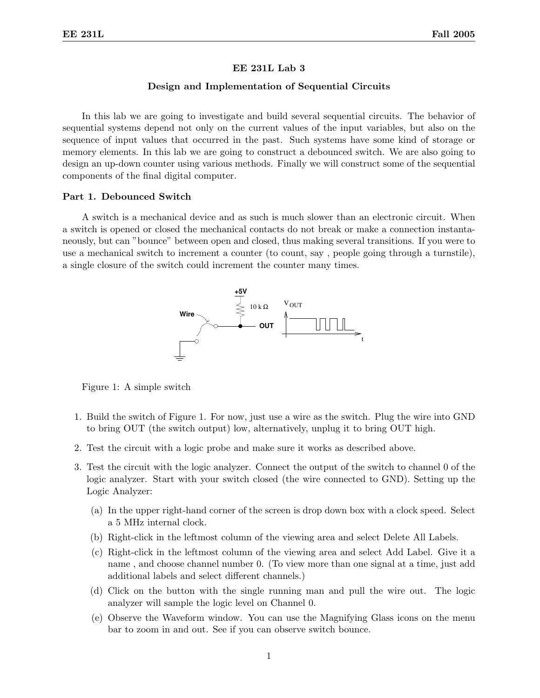#### EE 231L Lab 3

## Design and Implementation of Sequential Circuits

In this lab we are going to investigate and build several sequential circuits. The behavior of sequential systems depend not only on the current values of the input variables, but also on the sequence of input values that occurred in the past. Such systems have some kind of storage or memory elements. In this lab we are going to construct a debounced switch. We are also going to design an up-down counter using various methods. Finally we will construct some of the sequential components of the final digital computer.

#### Part 1. Debounced Switch

A switch is a mechanical device and as such is much slower than an electronic circuit. When a switch is opened or closed the mechanical contacts do not break or make a connection instantaneously, but can "bounce" between open and closed, thus making several transitions. If you were to use a mechanical switch to increment a counter (to count, say , people going through a turnstile), a single closure of the switch could increment the counter many times.



Figure 1: A simple switch

- 1. Build the switch of Figure 1. For now, just use a wire as the switch. Plug the wire into GND to bring OUT (the switch output) low, alternatively, unplug it to bring OUT high.
- 2. Test the circuit with a logic probe and make sure it works as described above.
- 3. Test the circuit with the logic analyzer. Connect the output of the switch to channel 0 of the logic analyzer. Start with your switch closed (the wire connected to GND). Setting up the Logic Analyzer:
	- (a) In the upper right-hand corner of the screen is drop down box with a clock speed. Select a 5 MHz internal clock.
	- (b) Right-click in the leftmost column of the viewing area and select Delete All Labels.
	- (c) Right-click in the leftmost column of the viewing area and select Add Label. Give it a name , and choose channel number 0. (To view more than one signal at a time, just add additional labels and select different channels.)
	- (d) Click on the button with the single running man and pull the wire out. The logic analyzer will sample the logic level on Channel 0.
	- (e) Observe the Waveform window. You can use the Magnifying Glass icons on the menu bar to zoom in and out. See if you can observe switch bounce.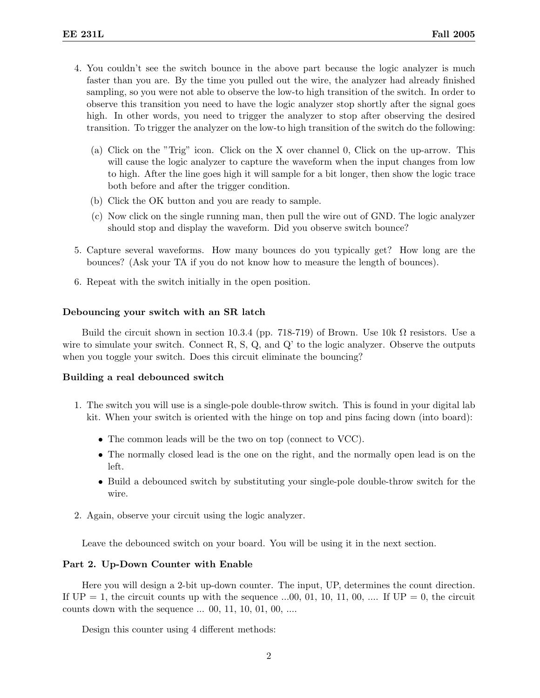- 4. You couldn't see the switch bounce in the above part because the logic analyzer is much faster than you are. By the time you pulled out the wire, the analyzer had already finished sampling, so you were not able to observe the low-to high transition of the switch. In order to observe this transition you need to have the logic analyzer stop shortly after the signal goes high. In other words, you need to trigger the analyzer to stop after observing the desired transition. To trigger the analyzer on the low-to high transition of the switch do the following:
	- (a) Click on the "Trig" icon. Click on the X over channel 0, Click on the up-arrow. This will cause the logic analyzer to capture the waveform when the input changes from low to high. After the line goes high it will sample for a bit longer, then show the logic trace both before and after the trigger condition.
	- (b) Click the OK button and you are ready to sample.
	- (c) Now click on the single running man, then pull the wire out of GND. The logic analyzer should stop and display the waveform. Did you observe switch bounce?
- 5. Capture several waveforms. How many bounces do you typically get? How long are the bounces? (Ask your TA if you do not know how to measure the length of bounces).
- 6. Repeat with the switch initially in the open position.

#### Debouncing your switch with an SR latch

Build the circuit shown in section 10.3.4 (pp. 718-719) of Brown. Use  $10k \Omega$  resistors. Use a wire to simulate your switch. Connect  $R$ ,  $S$ ,  $Q$ , and  $Q'$  to the logic analyzer. Observe the outputs when you toggle your switch. Does this circuit eliminate the bouncing?

# Building a real debounced switch

- 1. The switch you will use is a single-pole double-throw switch. This is found in your digital lab kit. When your switch is oriented with the hinge on top and pins facing down (into board):
	- The common leads will be the two on top (connect to VCC).
	- The normally closed lead is the one on the right, and the normally open lead is on the left.
	- Build a debounced switch by substituting your single-pole double-throw switch for the wire.
- 2. Again, observe your circuit using the logic analyzer.

Leave the debounced switch on your board. You will be using it in the next section.

### Part 2. Up-Down Counter with Enable

Here you will design a 2-bit up-down counter. The input, UP, determines the count direction. If  $UP = 1$ , the circuit counts up with the sequence ...00, 01, 10, 11, 00, .... If  $UP = 0$ , the circuit counts down with the sequence ... 00, 11, 10, 01, 00, ....

Design this counter using 4 different methods: